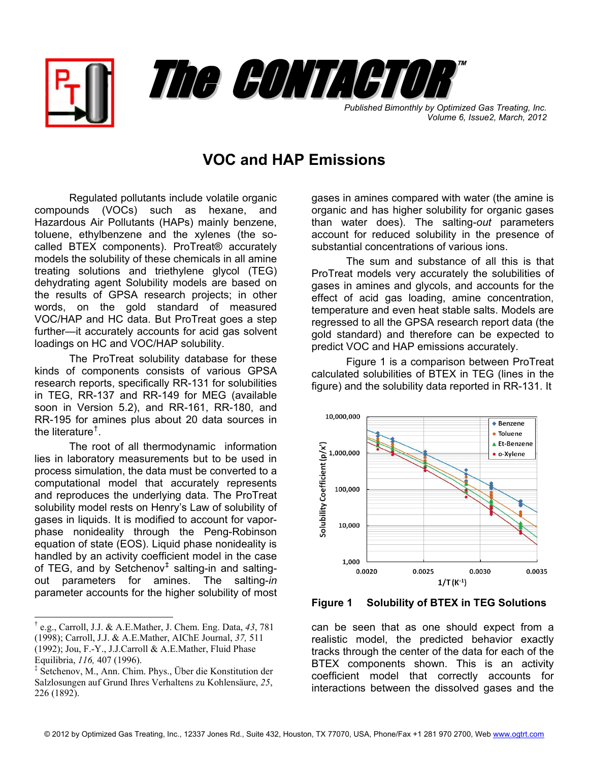



**Published Bimonthly by Optimized Gas Treating, Inc.** *Volume 6, Issue2, March, 2012*

## **VOC and HAP Emissions**

Regulated pollutants include volatile organic compounds (VOCs) such as hexane, and Hazardous Air Pollutants (HAPs) mainly benzene, toluene, ethylbenzene and the xylenes (the socalled BTEX components). ProTreat® accurately models the solubility of these chemicals in all amine treating solutions and triethylene glycol (TEG) dehydrating agent Solubility models are based on the results of GPSA research projects; in other words, on the gold standard of measured VOC/HAP and HC data. But ProTreat goes a step further—it accurately accounts for acid gas solvent loadings on HC and VOC/HAP solubility.

The ProTreat solubility database for these kinds of components consists of various GPSA research reports, specifically RR-131 for solubilities in TEG, RR-137 and RR-149 for MEG (available soon in Version 5.2), and RR-161, RR-180, and RR-195 for amines plus about 20 data sources in the literature[†](#page-0-0) .

The root of all thermodynamic information lies in laboratory measurements but to be used in process simulation, the data must be converted to a computational model that accurately represents and reproduces the underlying data. The ProTreat solubility model rests on Henry's Law of solubility of gases in liquids. It is modified to account for vaporphase nonideality through the Peng-Robinson equation of state (EOS). Liquid phase nonideality is handled by an activity coefficient model in the case of TEG, and by Setchenov<sup>[‡](#page-0-1)</sup> salting-in and saltingout parameters for amines. The salting-*in* parameter accounts for the higher solubility of most

 $\overline{a}$ 

gases in amines compared with water (the amine is organic and has higher solubility for organic gases than water does). The salting-*out* parameters account for reduced solubility in the presence of substantial concentrations of various ions.

The sum and substance of all this is that ProTreat models very accurately the solubilities of gases in amines and glycols, and accounts for the effect of acid gas loading, amine concentration, temperature and even heat stable salts. Models are regressed to all the GPSA research report data (the gold standard) and therefore can be expected to predict VOC and HAP emissions accurately.

Figure 1 is a comparison between ProTreat calculated solubilities of BTEX in TEG (lines in the figure) and the solubility data reported in RR-131. It



**Figure 1 Solubility of BTEX in TEG Solutions** 

can be seen that as one should expect from a realistic model, the predicted behavior exactly tracks through the center of the data for each of the BTEX components shown. This is an activity coefficient model that correctly accounts for interactions between the dissolved gases and the

<span id="page-0-0"></span><sup>†</sup> e.g., Carroll, J.J. & A.E.Mather, J. Chem. Eng. Data, *43*, 781 (1998); Carroll, J.J. & A.E.Mather, AIChE Journal, *37,* 511 (1992); Jou, F.-Y., J.J.Carroll & A.E.Mather, Fluid Phase Equilibria, *116,* 407 (1996).

<span id="page-0-1"></span><sup>‡</sup> Setchenov, M., Ann. Chim. Phys., Über die Konstitution der Salzlosungen auf Grund Ihres Verhaltens zu Kohlensäure, *25*, 226 (1892).